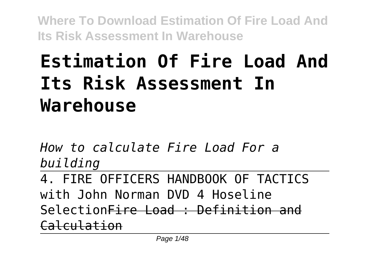# **Estimation Of Fire Load And Its Risk Assessment In Warehouse**

*How to calculate Fire Load For a building*

4. FIRE OFFICERS HANDBOOK OF TACTICS with John Norman DVD 4 Hoseline SelectionFire Load : Definition and Calculation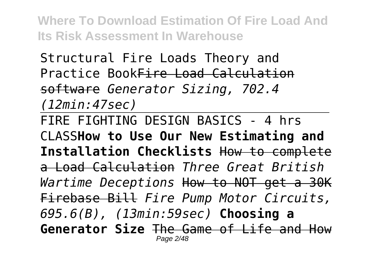Structural Fire Loads Theory and Practice BookFire Load Calculation software *Generator Sizing, 702.4 (12min:47sec)*

FIRE FIGHTING DESIGN BASICS - 4 hrs CLASS**How to Use Our New Estimating and Installation Checklists** How to complete a Load Calculation *Three Great British Wartime Deceptions* How to NOT get a 30K Firebase Bill *Fire Pump Motor Circuits, 695.6(B), (13min:59sec)* **Choosing a Generator Size** The Game of Life and How Page 2/48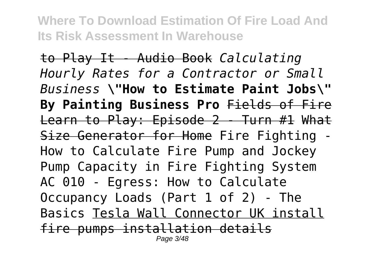to Play It - Audio Book *Calculating Hourly Rates for a Contractor or Small Business* **\"How to Estimate Paint Jobs\" By Painting Business Pro** Fields of Fire Learn to Play: Episode 2 - Turn #1 What Size Generator for Home Fire Fighting -How to Calculate Fire Pump and Jockey Pump Capacity in Fire Fighting System AC 010 - Egress: How to Calculate Occupancy Loads (Part 1 of 2) - The Basics Tesla Wall Connector UK install fire pumps installation details Page 3/48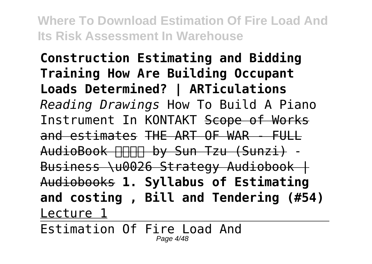**Construction Estimating and Bidding Training How Are Building Occupant Loads Determined? | ARTiculations** *Reading Drawings* How To Build A Piano Instrument In KONTAKT Scope of Works and estimates THE ART OF WAR - FULL AudioBook FIFIFI by Sun Tzu (Sunzi) -Business \u0026 Strategy Audiobook | Audiobooks **1. Syllabus of Estimating and costing , Bill and Tendering (#54)** Lecture 1

Estimation Of Fire Load And Page 4/48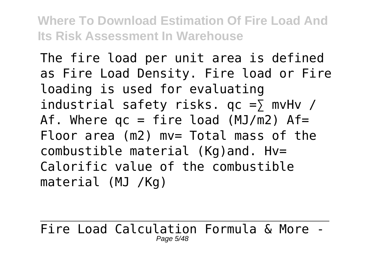The fire load per unit area is defined as Fire Load Density. Fire load or Fire loading is used for evaluating industrial safety risks.  $qc = \sum mvlv$ Af. Where  $qc = fire load (MJ/m2)$  Af= Floor area (m2) mv= Total mass of the combustible material (Kg)and. Hv= Calorific value of the combustible material (MJ /Kg)

Fire Load Calculation Formula & More - Page 5/48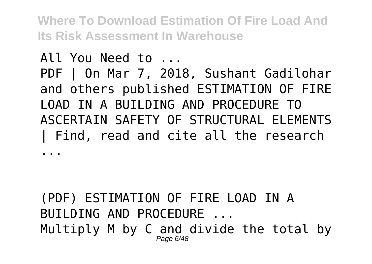## All You Need to ... PDF | On Mar 7, 2018, Sushant Gadilohar and others published ESTIMATION OF FIRE LOAD IN A BUILDING AND PROCEDURE TO ASCERTAIN SAFETY OF STRUCTURAL ELEMENTS | Find, read and cite all the research

...

#### (PDF) ESTIMATION OF FIRE LOAD IN A BUILDING AND PROCEDURE ... Multiply M by C and divide the total by Page 6/48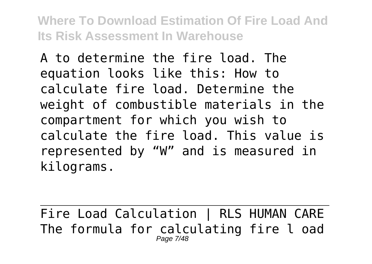A to determine the fire load. The equation looks like this: How to calculate fire load. Determine the weight of combustible materials in the compartment for which you wish to calculate the fire load. This value is represented by "W" and is measured in kilograms.

Fire Load Calculation | RLS HUMAN CARE The formula for calculating fire l oad Page 7/48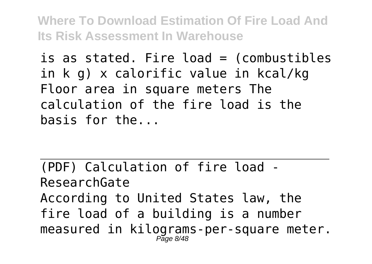is as stated. Fire load = (combustibles in k g) x calorific value in kcal/kg Floor area in square meters The calculation of the fire load is the basis for the...

(PDF) Calculation of fire load - ResearchGate According to United States law, the fire load of a building is a number measured in kilograms-per-square meter.  $P$ age  $8/48$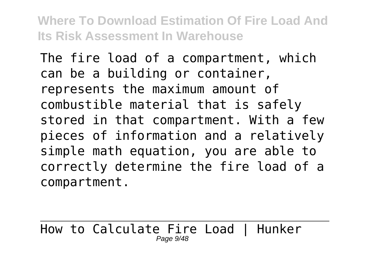The fire load of a compartment, which can be a building or container, represents the maximum amount of combustible material that is safely stored in that compartment. With a few pieces of information and a relatively simple math equation, you are able to correctly determine the fire load of a compartment.

How to Calculate Fire Load | Hunker Page 9/48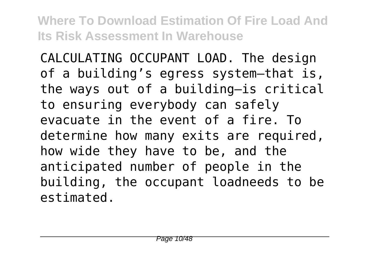CALCULATING OCCUPANT LOAD. The design of a building's egress system—that is, the ways out of a building—is critical to ensuring everybody can safely evacuate in the event of a fire. To determine how many exits are required, how wide they have to be, and the anticipated number of people in the building, the occupant loadneeds to be estimated.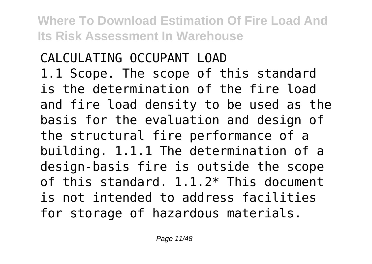CALCULATING OCCUPANT LOAD 1.1 Scope. The scope of this standard is the determination of the fire load and fire load density to be used as the basis for the evaluation and design of the structural fire performance of a building. 1.1.1 The determination of a design-basis fire is outside the scope of this standard. 1.1.2\* This document is not intended to address facilities for storage of hazardous materials.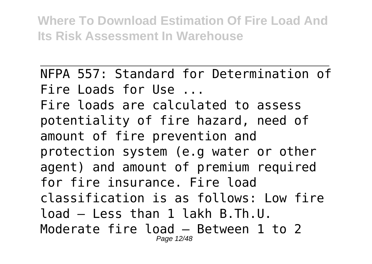NFPA 557: Standard for Determination of Fire Loads for Use ... Fire loads are calculated to assess potentiality of fire hazard, need of amount of fire prevention and protection system (e.g water or other agent) and amount of premium required for fire insurance. Fire load classification is as follows: Low fire load – Less than 1 lakh B.Th.U. Moderate fire load – Between 1 to 2 Page 12/48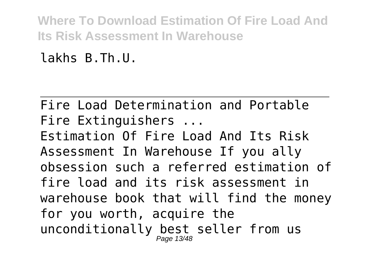lakhs B.Th.U.

Fire Load Determination and Portable Fire Extinguishers ... Estimation Of Fire Load And Its Risk Assessment In Warehouse If you ally obsession such a referred estimation of fire load and its risk assessment in warehouse book that will find the money for you worth, acquire the unconditionally best seller from us Page 13/48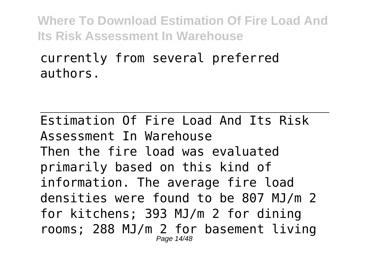#### currently from several preferred authors.

Estimation Of Fire Load And Its Risk Assessment In Warehouse Then the fire load was evaluated primarily based on this kind of information. The average fire load densities were found to be 807 MJ/m 2 for kitchens; 393 MJ/m 2 for dining rooms; 288 MJ/m 2 for basement living Page 14/48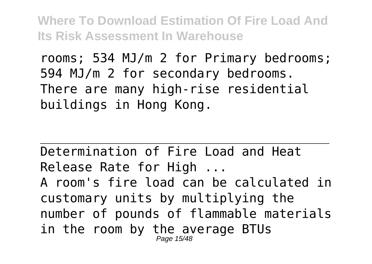rooms; 534 MJ/m 2 for Primary bedrooms; 594 MJ/m 2 for secondary bedrooms. There are many high-rise residential buildings in Hong Kong.

Determination of Fire Load and Heat Release Rate for High ... A room's fire load can be calculated in customary units by multiplying the number of pounds of flammable materials in the room by the average BTUs Page 15/48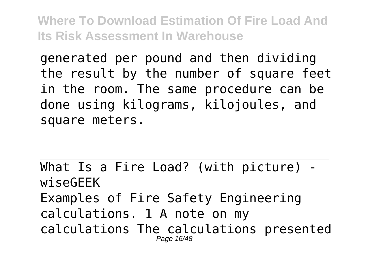generated per pound and then dividing the result by the number of square feet in the room. The same procedure can be done using kilograms, kilojoules, and square meters.

What Is a Fire Load? (with picture) wiseGEEK Examples of Fire Safety Engineering calculations. 1 A note on my calculations The calculations presented Page 16/48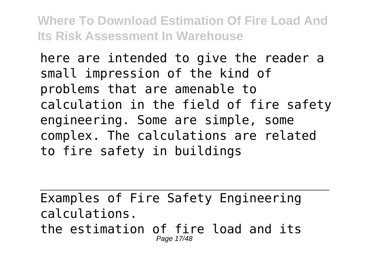here are intended to give the reader a small impression of the kind of problems that are amenable to calculation in the field of fire safety engineering. Some are simple, some complex. The calculations are related to fire safety in buildings

Examples of Fire Safety Engineering calculations. the estimation of fire load and its Page 17/48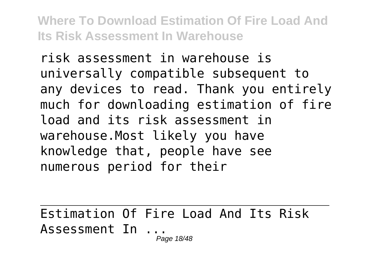risk assessment in warehouse is universally compatible subsequent to any devices to read. Thank you entirely much for downloading estimation of fire load and its risk assessment in warehouse.Most likely you have knowledge that, people have see numerous period for their

Estimation Of Fire Load And Its Risk Assessment In ...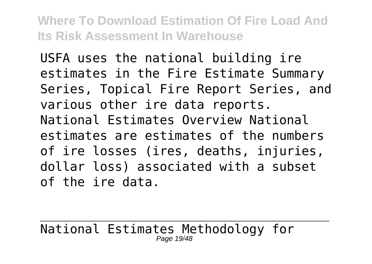USFA uses the national building ire estimates in the Fire Estimate Summary Series, Topical Fire Report Series, and various other ire data reports. National Estimates Overview National estimates are estimates of the numbers of ire losses (ires, deaths, injuries, dollar loss) associated with a subset of the ire data.

National Estimates Methodology for Page 19/48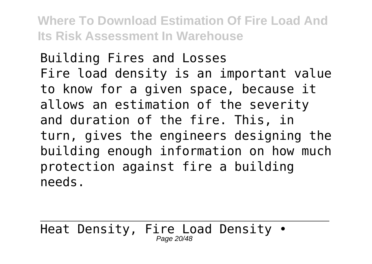Building Fires and Losses Fire load density is an important value to know for a given space, because it allows an estimation of the severity and duration of the fire. This, in turn, gives the engineers designing the building enough information on how much protection against fire a building needs.

Heat Density, Fire Load Density • Page 20/48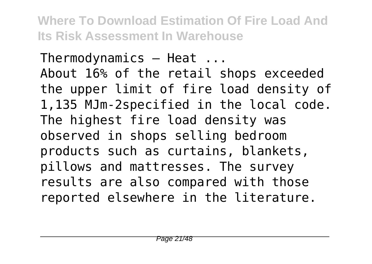Thermodynamics — Heat ... About 16% of the retail shops exceeded the upper limit of fire load density of 1,135 MJm-2specified in the local code. The highest fire load density was observed in shops selling bedroom products such as curtains, blankets, pillows and mattresses. The survey results are also compared with those reported elsewhere in the literature.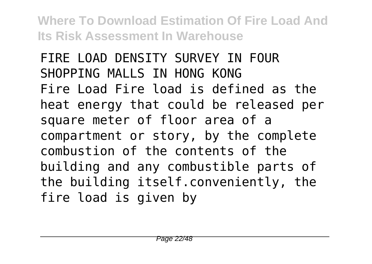FIRE LOAD DENSITY SURVEY IN FOUR SHOPPING MALLS IN HONG KONG Fire Load Fire load is defined as the heat energy that could be released per square meter of floor area of a compartment or story, by the complete combustion of the contents of the building and any combustible parts of the building itself.conveniently, the fire load is given by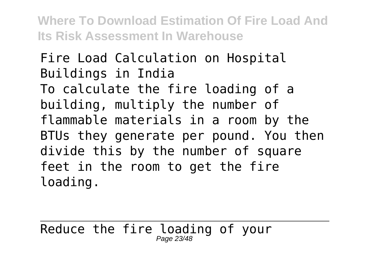Fire Load Calculation on Hospital Buildings in India To calculate the fire loading of a building, multiply the number of flammable materials in a room by the BTUs they generate per pound. You then divide this by the number of square feet in the room to get the fire loading.

Reduce the fire loading of your Page 23/48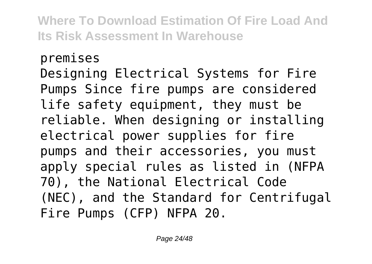#### premises

Designing Electrical Systems for Fire Pumps Since fire pumps are considered life safety equipment, they must be reliable. When designing or installing electrical power supplies for fire pumps and their accessories, you must apply special rules as listed in (NFPA 70), the National Electrical Code (NEC), and the Standard for Centrifugal Fire Pumps (CFP) NFPA 20.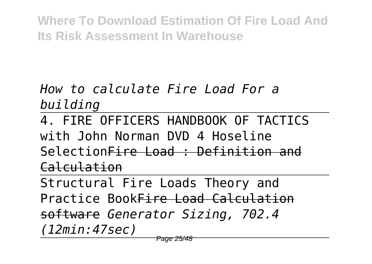*How to calculate Fire Load For a building*

4. FIRE OFFICERS HANDBOOK OF TACTICS with John Norman DVD 4 Hoseline SelectionFire Load : Definition and Calculation

Structural Fire Loads Theory and Practice BookFire Load Calculation software *Generator Sizing, 702.4 (12min:47sec)*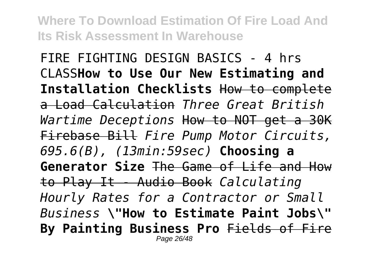FIRE FIGHTING DESIGN BASICS - 4 hrs CLASS**How to Use Our New Estimating and Installation Checklists** How to complete a Load Calculation *Three Great British Wartime Deceptions* How to NOT get a 30K Firebase Bill *Fire Pump Motor Circuits, 695.6(B), (13min:59sec)* **Choosing a Generator Size** The Game of Life and How to Play It - Audio Book *Calculating Hourly Rates for a Contractor or Small Business* **\"How to Estimate Paint Jobs\" By Painting Business Pro** Fields of Fire Page 26/48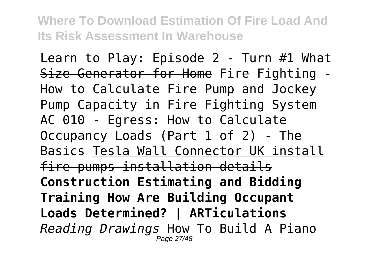Learn to Play: Episode 2 - Turn #1 What Size Generator for Home Fire Fighting - How to Calculate Fire Pump and Jockey Pump Capacity in Fire Fighting System AC 010 - Egress: How to Calculate Occupancy Loads (Part 1 of 2) - The Basics Tesla Wall Connector UK install fire pumps installation details **Construction Estimating and Bidding Training How Are Building Occupant Loads Determined? | ARTiculations** *Reading Drawings* How To Build A Piano Page 27/48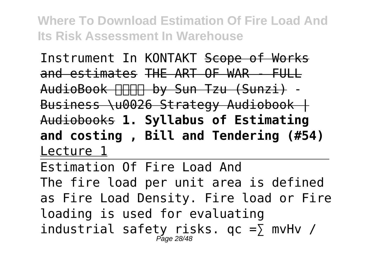Instrument In KONTAKT Scope of Works and estimates THE ART OF WAR - FULL AudioBook FIFIFI by Sun Tzu (Sunzi) -Business \u0026 Strategy Audiobook | Audiobooks **1. Syllabus of Estimating and costing , Bill and Tendering (#54)** Lecture 1

Estimation Of Fire Load And The fire load per unit area is defined as Fire Load Density. Fire load or Fire loading is used for evaluating industrial safety risks.  $qc = \sum_{\text{M}} m_V Hv$  /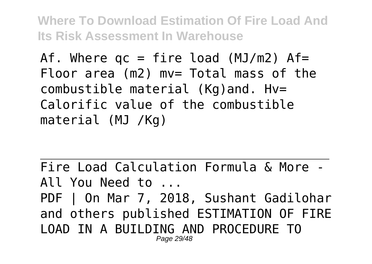Af. Where  $qc = fire load (MJ/m2)$  Af= Floor area (m2) mv= Total mass of the combustible material (Kg)and. Hv= Calorific value of the combustible material (MJ /Kg)

Fire Load Calculation Formula & More - All You Need to ... PDF | On Mar 7, 2018, Sushant Gadilohar and others published ESTIMATION OF FIRE LOAD IN A BUILDING AND PROCEDURE TO Page 29/48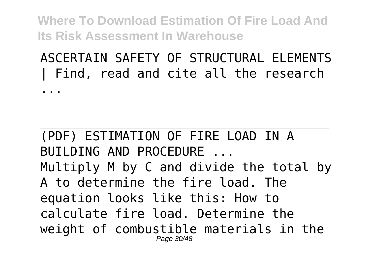### ASCERTAIN SAFETY OF STRUCTURAL ELEMENTS | Find, read and cite all the research

...

(PDF) ESTIMATION OF FIRE LOAD IN A BUILDING AND PROCEDURE ... Multiply M by C and divide the total by A to determine the fire load. The equation looks like this: How to calculate fire load. Determine the weight of combustible materials in the Page 30/48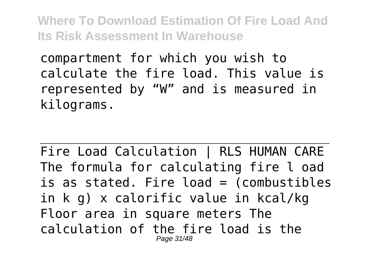compartment for which you wish to calculate the fire load. This value is represented by "W" and is measured in kilograms.

Fire Load Calculation | RLS HUMAN CARE The formula for calculating fire l oad is as stated. Fire load = (combustibles in k g) x calorific value in kcal/kg Floor area in square meters The calculation of the fire load is the Page 31/48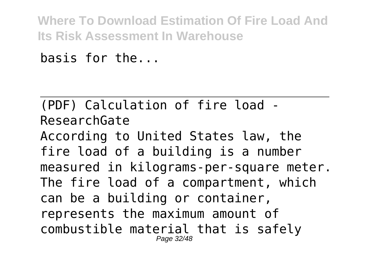basis for the...

(PDF) Calculation of fire load - ResearchGate According to United States law, the fire load of a building is a number measured in kilograms-per-square meter. The fire load of a compartment, which can be a building or container, represents the maximum amount of combustible material that is safely Page 32/48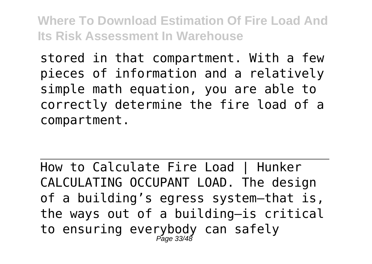stored in that compartment. With a few pieces of information and a relatively simple math equation, you are able to correctly determine the fire load of a compartment.

How to Calculate Fire Load | Hunker CALCULATING OCCUPANT LOAD. The design of a building's egress system—that is, the ways out of a building—is critical to ensuring everybody can safely Page 33/48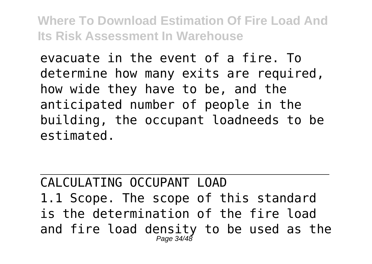evacuate in the event of a fire. To determine how many exits are required, how wide they have to be, and the anticipated number of people in the building, the occupant loadneeds to be estimated.

CALCULATING OCCUPANT LOAD 1.1 Scope. The scope of this standard is the determination of the fire load and fire load density to be used as the Page 34/48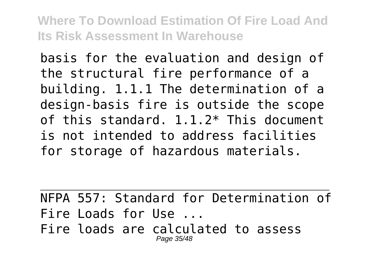basis for the evaluation and design of the structural fire performance of a building. 1.1.1 The determination of a design-basis fire is outside the scope of this standard. 1.1.2\* This document is not intended to address facilities for storage of hazardous materials.

NFPA 557: Standard for Determination of Fire Loads for Use ... Fire loads are calculated to assess Page 35/48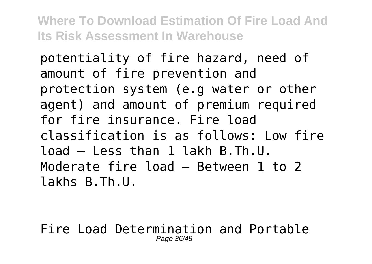potentiality of fire hazard, need of amount of fire prevention and protection system (e.g water or other agent) and amount of premium required for fire insurance. Fire load classification is as follows: Low fire load – Less than 1 lakh B.Th.U. Moderate fire load – Between 1 to 2 lakhs B.Th.U.

Fire Load Determination and Portable Page 36/48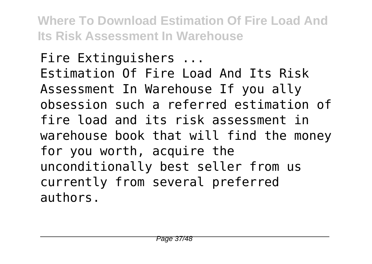Fire Extinguishers ... Estimation Of Fire Load And Its Risk Assessment In Warehouse If you ally obsession such a referred estimation of fire load and its risk assessment in warehouse book that will find the money for you worth, acquire the unconditionally best seller from us currently from several preferred authors.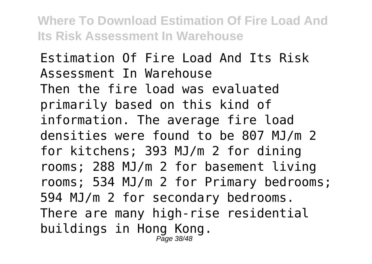Estimation Of Fire Load And Its Risk Assessment In Warehouse Then the fire load was evaluated primarily based on this kind of information. The average fire load densities were found to be 807 MJ/m 2 for kitchens; 393 MJ/m 2 for dining rooms; 288 MJ/m 2 for basement living rooms; 534 MJ/m 2 for Primary bedrooms; 594 MJ/m 2 for secondary bedrooms. There are many high-rise residential buildings in Hong Kong. Page 38/48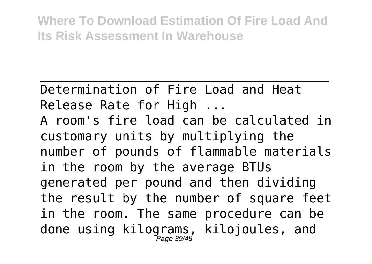Determination of Fire Load and Heat Release Rate for High ...

A room's fire load can be calculated in customary units by multiplying the number of pounds of flammable materials in the room by the average BTUs generated per pound and then dividing the result by the number of square feet in the room. The same procedure can be done using kilograms, kilojoules, and Page 39/48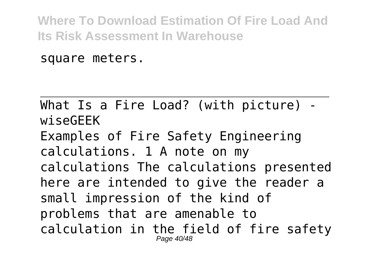square meters.

What Is a Fire Load? (with picture) wiseGEEK Examples of Fire Safety Engineering calculations. 1 A note on my calculations The calculations presented here are intended to give the reader a small impression of the kind of problems that are amenable to calculation in the field of fire safety Page 40/48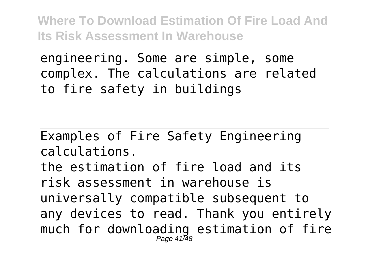engineering. Some are simple, some complex. The calculations are related to fire safety in buildings

Examples of Fire Safety Engineering calculations. the estimation of fire load and its risk assessment in warehouse is universally compatible subsequent to any devices to read. Thank you entirely much for downloading estimation of fire Page 41/48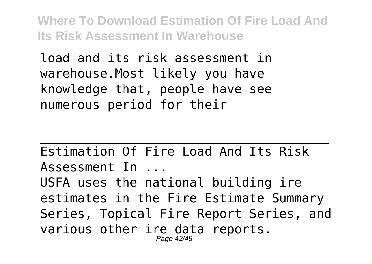load and its risk assessment in warehouse.Most likely you have knowledge that, people have see numerous period for their

Estimation Of Fire Load And Its Risk Assessment In ... USFA uses the national building ire estimates in the Fire Estimate Summary Series, Topical Fire Report Series, and various other ire data reports. Page 42/48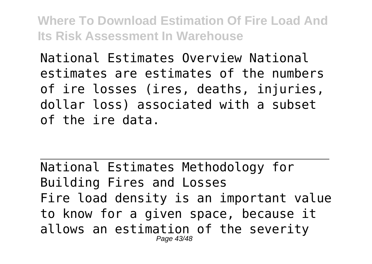National Estimates Overview National estimates are estimates of the numbers of ire losses (ires, deaths, injuries, dollar loss) associated with a subset of the ire data.

National Estimates Methodology for Building Fires and Losses Fire load density is an important value to know for a given space, because it allows an estimation of the severity Page 43/48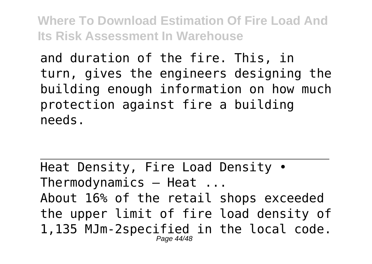and duration of the fire. This, in turn, gives the engineers designing the building enough information on how much protection against fire a building needs.

Heat Density, Fire Load Density • Thermodynamics — Heat ... About 16% of the retail shops exceeded the upper limit of fire load density of 1,135 MJm-2specified in the local code. Page 44/48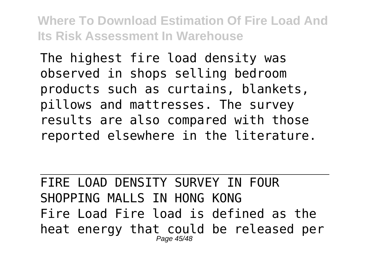The highest fire load density was observed in shops selling bedroom products such as curtains, blankets, pillows and mattresses. The survey results are also compared with those reported elsewhere in the literature.

FIRE LOAD DENSITY SURVEY IN FOUR SHOPPING MALLS IN HONG KONG Fire Load Fire load is defined as the heat energy that could be released per Page 45/48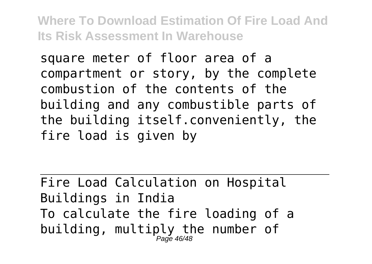square meter of floor area of a compartment or story, by the complete combustion of the contents of the building and any combustible parts of the building itself.conveniently, the fire load is given by

Fire Load Calculation on Hospital Buildings in India To calculate the fire loading of a building, multiply the number of Page 46/48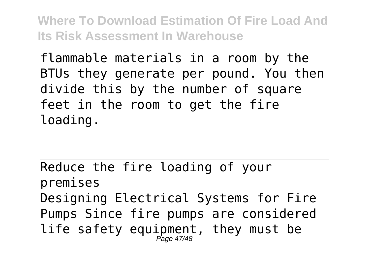flammable materials in a room by the BTUs they generate per pound. You then divide this by the number of square feet in the room to get the fire loading.

Reduce the fire loading of your premises Designing Electrical Systems for Fire Pumps Since fire pumps are considered life safety equipment, they must be Page 47/48